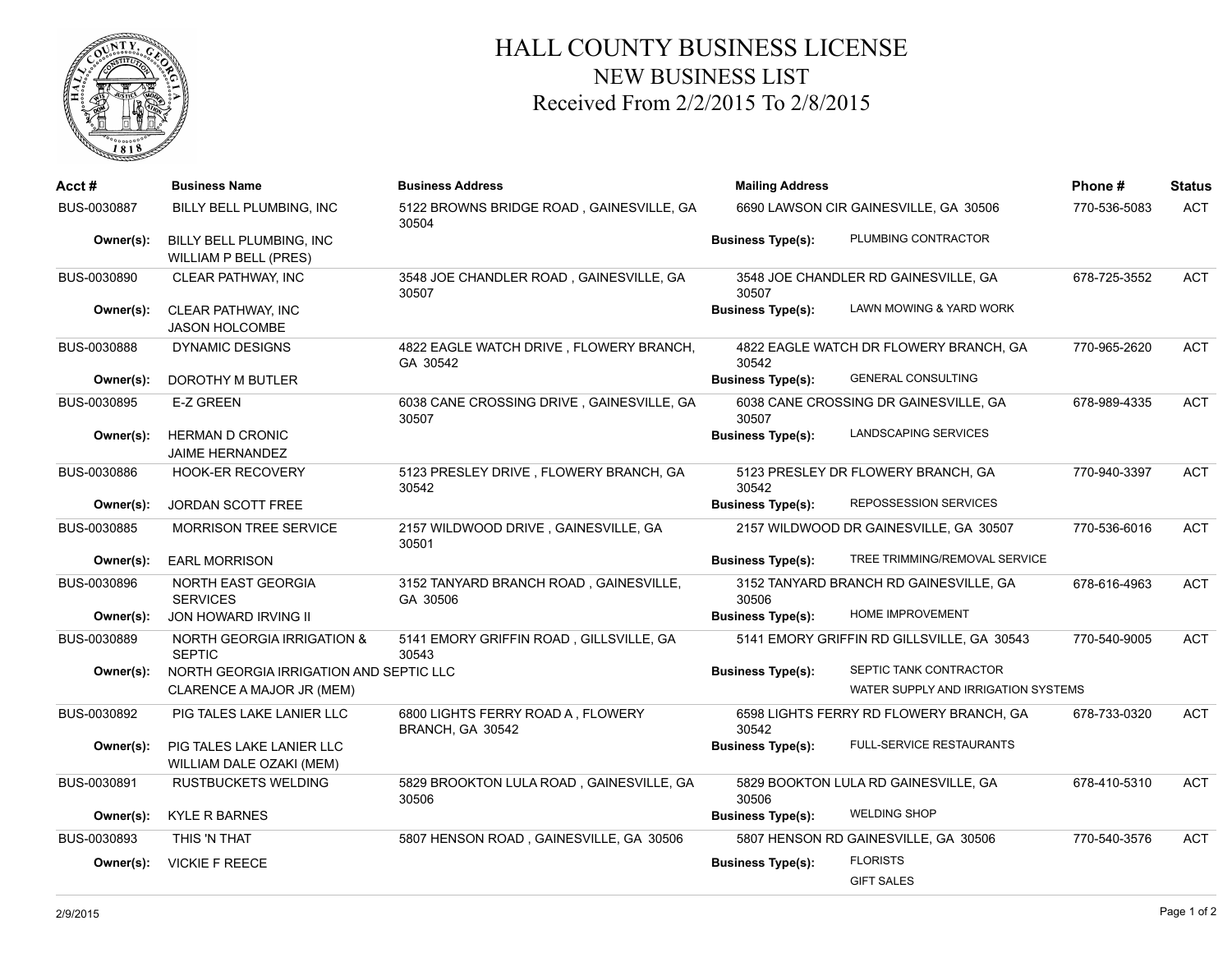

## HALL COUNTY BUSINESS LICENSE NEW BUSINESS LIST Received From 2/2/2015 To 2/8/2015

| $Acct \#$   | <b>Business Name</b>                                     | <b>Business Address</b>                               | <b>Mailing Address</b>                |                                            | Phone#       | <b>Status</b> |
|-------------|----------------------------------------------------------|-------------------------------------------------------|---------------------------------------|--------------------------------------------|--------------|---------------|
| BUS-0030887 | BILLY BELL PLUMBING, INC                                 | 5122 BROWNS BRIDGE ROAD, GAINESVILLE, GA<br>30504     | 6690 LAWSON CIR GAINESVILLE, GA 30506 |                                            | 770-536-5083 | <b>ACT</b>    |
| Owner(s):   | BILLY BELL PLUMBING, INC<br><b>WILLIAM P BELL (PRES)</b> |                                                       | <b>Business Type(s):</b>              | PLUMBING CONTRACTOR                        |              |               |
| BUS-0030890 | CLEAR PATHWAY, INC                                       | 3548 JOE CHANDLER ROAD, GAINESVILLE, GA<br>30507      | 30507                                 | 3548 JOE CHANDLER RD GAINESVILLE, GA       | 678-725-3552 | <b>ACT</b>    |
| Owner(s):   | CLEAR PATHWAY, INC<br><b>JASON HOLCOMBE</b>              |                                                       | <b>Business Type(s):</b>              | LAWN MOWING & YARD WORK                    |              |               |
| BUS-0030888 | <b>DYNAMIC DESIGNS</b>                                   | 4822 EAGLE WATCH DRIVE, FLOWERY BRANCH,<br>GA 30542   | 30542                                 | 4822 EAGLE WATCH DR FLOWERY BRANCH, GA     | 770-965-2620 | <b>ACT</b>    |
| Owner(s):   | DOROTHY M BUTLER                                         |                                                       | <b>Business Type(s):</b>              | <b>GENERAL CONSULTING</b>                  |              |               |
| BUS-0030895 | <b>E-Z GREEN</b>                                         | 6038 CANE CROSSING DRIVE, GAINESVILLE, GA<br>30507    | 30507                                 | 6038 CANE CROSSING DR GAINESVILLE, GA      | 678-989-4335 | <b>ACT</b>    |
| Owner(s):   | <b>HERMAN D CRONIC</b><br><b>JAIME HERNANDEZ</b>         |                                                       | <b>Business Type(s):</b>              | LANDSCAPING SERVICES                       |              |               |
| BUS-0030886 | <b>HOOK-ER RECOVERY</b>                                  | 5123 PRESLEY DRIVE, FLOWERY BRANCH, GA<br>30542       | 30542                                 | 5123 PRESLEY DR FLOWERY BRANCH, GA         | 770-940-3397 | <b>ACT</b>    |
| Owner(s):   | <b>JORDAN SCOTT FREE</b>                                 |                                                       | <b>Business Type(s):</b>              | <b>REPOSSESSION SERVICES</b>               |              |               |
| BUS-0030885 | <b>MORRISON TREE SERVICE</b>                             | 2157 WILDWOOD DRIVE, GAINESVILLE, GA<br>30501         |                                       | 2157 WILDWOOD DR GAINESVILLE, GA 30507     | 770-536-6016 | <b>ACT</b>    |
| Owner(s):   | <b>EARL MORRISON</b>                                     |                                                       | <b>Business Type(s):</b>              | TREE TRIMMING/REMOVAL SERVICE              |              |               |
| BUS-0030896 | NORTH EAST GEORGIA<br><b>SERVICES</b>                    | 3152 TANYARD BRANCH ROAD, GAINESVILLE,<br>GA 30506    | 30506                                 | 3152 TANYARD BRANCH RD GAINESVILLE, GA     | 678-616-4963 | <b>ACT</b>    |
| Owner(s):   | JON HOWARD IRVING II                                     |                                                       | <b>Business Type(s):</b>              | <b>HOME IMPROVEMENT</b>                    |              |               |
| BUS-0030889 | <b>NORTH GEORGIA IRRIGATION &amp;</b><br><b>SEPTIC</b>   | 5141 EMORY GRIFFIN ROAD, GILLSVILLE, GA<br>30543      |                                       | 5141 EMORY GRIFFIN RD GILLSVILLE, GA 30543 | 770-540-9005 | <b>ACT</b>    |
| Owner(s):   | NORTH GEORGIA IRRIGATION AND SEPTIC LLC                  |                                                       | <b>Business Type(s):</b>              | SEPTIC TANK CONTRACTOR                     |              |               |
|             | CLARENCE A MAJOR JR (MEM)                                |                                                       |                                       | WATER SUPPLY AND IRRIGATION SYSTEMS        |              |               |
| BUS-0030892 | PIG TALES LAKE LANIER LLC                                | 6800 LIGHTS FERRY ROAD A, FLOWERY<br>BRANCH, GA 30542 | 30542                                 | 6598 LIGHTS FERRY RD FLOWERY BRANCH, GA    | 678-733-0320 | <b>ACT</b>    |
| Owner(s):   | PIG TALES LAKE LANIER LLC<br>WILLIAM DALE OZAKI (MEM)    |                                                       | <b>Business Type(s):</b>              | <b>FULL-SERVICE RESTAURANTS</b>            |              |               |
| BUS-0030891 | <b>RUSTBUCKETS WELDING</b>                               | 5829 BROOKTON LULA ROAD, GAINESVILLE, GA<br>30506     | 30506                                 | 5829 BOOKTON LULA RD GAINESVILLE, GA       | 678-410-5310 | <b>ACT</b>    |
| Owner(s):   | <b>KYLE R BARNES</b>                                     |                                                       | <b>Business Type(s):</b>              | <b>WELDING SHOP</b>                        |              |               |
| BUS-0030893 | THIS 'N THAT                                             | 5807 HENSON ROAD, GAINESVILLE, GA 30506               |                                       | 5807 HENSON RD GAINESVILLE, GA 30506       | 770-540-3576 | <b>ACT</b>    |
| Owner(s):   | <b>VICKIE F REECE</b>                                    |                                                       | <b>Business Type(s):</b>              | <b>FLORISTS</b>                            |              |               |
|             |                                                          |                                                       |                                       | <b>GIFT SALES</b>                          |              |               |